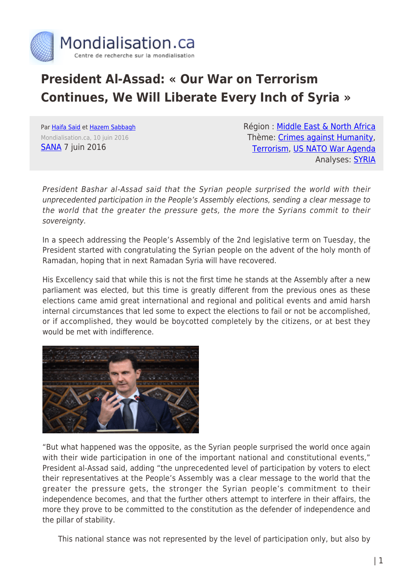

## **President Al-Assad: « Our War on Terrorism Continues, We Will Liberate Every Inch of Syria »**

Par [Haifa Said](https://www.mondialisation.ca/author/haifa-said) et [Hazem Sabbagh](https://www.mondialisation.ca/author/hazem-sabbagh) Mondialisation.ca, 10 juin 2016 **[SANA](http://sana.sy/en/?p=79525) 7 juin 2016** 

Région : [Middle East & North Africa](https://www.mondialisation.ca/region/middle-east) Thème: [Crimes against Humanity](https://www.mondialisation.ca/theme/crimes-against-humanity), [Terrorism](https://www.mondialisation.ca/theme/9-11-war-on-terrorism), [US NATO War Agenda](https://www.mondialisation.ca/theme/us-nato-war-agenda) Analyses: **SYRIA** 

President Bashar al-Assad said that the Syrian people surprised the world with their unprecedented participation in the People's Assembly elections, sending a clear message to the world that the greater the pressure gets, the more the Syrians commit to their sovereignty.

In a speech addressing the People's Assembly of the 2nd legislative term on Tuesday, the President started with congratulating the Syrian people on the advent of the holy month of Ramadan, hoping that in next Ramadan Syria will have recovered.

His Excellency said that while this is not the first time he stands at the Assembly after a new parliament was elected, but this time is greatly different from the previous ones as these elections came amid great international and regional and political events and amid harsh internal circumstances that led some to expect the elections to fail or not be accomplished, or if accomplished, they would be boycotted completely by the citizens, or at best they would be met with indifference.



"But what happened was the opposite, as the Syrian people surprised the world once again with their wide participation in one of the important national and constitutional events," President al-Assad said, adding "the unprecedented level of participation by voters to elect their representatives at the People's Assembly was a clear message to the world that the greater the pressure gets, the stronger the Syrian people's commitment to their independence becomes, and that the further others attempt to interfere in their affairs, the more they prove to be committed to the constitution as the defender of independence and the pillar of stability.

This national stance was not represented by the level of participation only, but also by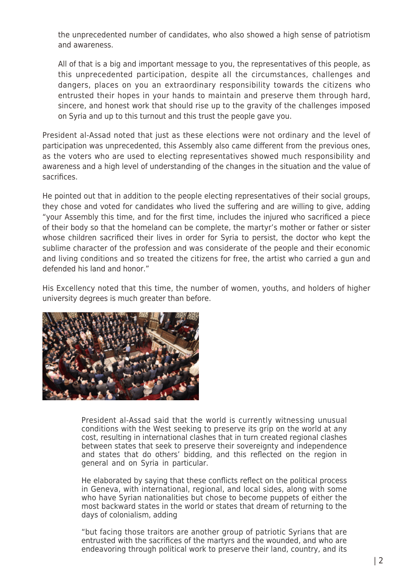the unprecedented number of candidates, who also showed a high sense of patriotism and awareness.

All of that is a big and important message to you, the representatives of this people, as this unprecedented participation, despite all the circumstances, challenges and dangers, places on you an extraordinary responsibility towards the citizens who entrusted their hopes in your hands to maintain and preserve them through hard, sincere, and honest work that should rise up to the gravity of the challenges imposed on Syria and up to this turnout and this trust the people gave you.

President al-Assad noted that just as these elections were not ordinary and the level of participation was unprecedented, this Assembly also came different from the previous ones, as the voters who are used to electing representatives showed much responsibility and awareness and a high level of understanding of the changes in the situation and the value of sacrifices.

He pointed out that in addition to the people electing representatives of their social groups, they chose and voted for candidates who lived the suffering and are willing to give, adding "your Assembly this time, and for the first time, includes the injured who sacrificed a piece of their body so that the homeland can be complete, the martyr's mother or father or sister whose children sacrificed their lives in order for Syria to persist, the doctor who kept the sublime character of the profession and was considerate of the people and their economic and living conditions and so treated the citizens for free, the artist who carried a gun and defended his land and honor."

His Excellency noted that this time, the number of women, youths, and holders of higher university degrees is much greater than before.



President al-Assad said that the world is currently witnessing unusual conditions with the West seeking to preserve its grip on the world at any cost, resulting in international clashes that in turn created regional clashes between states that seek to preserve their sovereignty and independence and states that do others' bidding, and this reflected on the region in general and on Syria in particular.

He elaborated by saying that these conflicts reflect on the political process in Geneva, with international, regional, and local sides, along with some who have Syrian nationalities but chose to become puppets of either the most backward states in the world or states that dream of returning to the days of colonialism, adding

"but facing those traitors are another group of patriotic Syrians that are entrusted with the sacrifices of the martyrs and the wounded, and who are endeavoring through political work to preserve their land, country, and its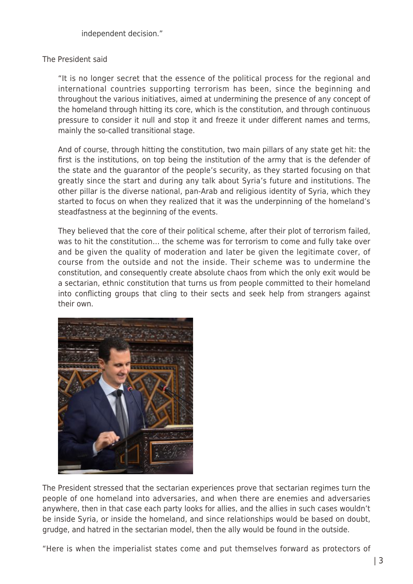independent decision."

## The President said

"It is no longer secret that the essence of the political process for the regional and international countries supporting terrorism has been, since the beginning and throughout the various initiatives, aimed at undermining the presence of any concept of the homeland through hitting its core, which is the constitution, and through continuous pressure to consider it null and stop it and freeze it under different names and terms, mainly the so-called transitional stage.

And of course, through hitting the constitution, two main pillars of any state get hit: the first is the institutions, on top being the institution of the army that is the defender of the state and the guarantor of the people's security, as they started focusing on that greatly since the start and during any talk about Syria's future and institutions. The other pillar is the diverse national, pan-Arab and religious identity of Syria, which they started to focus on when they realized that it was the underpinning of the homeland's steadfastness at the beginning of the events.

They believed that the core of their political scheme, after their plot of terrorism failed, was to hit the constitution… the scheme was for terrorism to come and fully take over and be given the quality of moderation and later be given the legitimate cover, of course from the outside and not the inside. Their scheme was to undermine the constitution, and consequently create absolute chaos from which the only exit would be a sectarian, ethnic constitution that turns us from people committed to their homeland into conflicting groups that cling to their sects and seek help from strangers against their own.



The President stressed that the sectarian experiences prove that sectarian regimes turn the people of one homeland into adversaries, and when there are enemies and adversaries anywhere, then in that case each party looks for allies, and the allies in such cases wouldn't be inside Syria, or inside the homeland, and since relationships would be based on doubt, grudge, and hatred in the sectarian model, then the ally would be found in the outside.

"Here is when the imperialist states come and put themselves forward as protectors of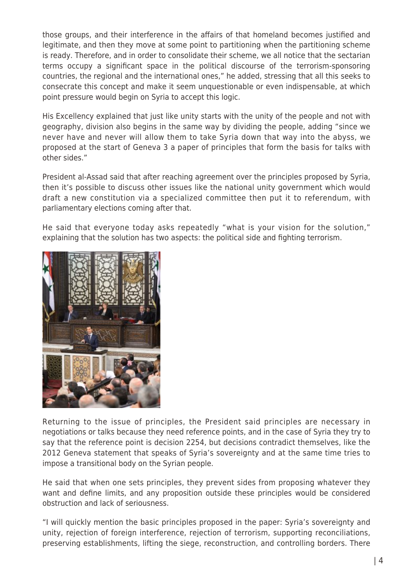those groups, and their interference in the affairs of that homeland becomes justified and legitimate, and then they move at some point to partitioning when the partitioning scheme is ready. Therefore, and in order to consolidate their scheme, we all notice that the sectarian terms occupy a significant space in the political discourse of the terrorism-sponsoring countries, the regional and the international ones," he added, stressing that all this seeks to consecrate this concept and make it seem unquestionable or even indispensable, at which point pressure would begin on Syria to accept this logic.

His Excellency explained that just like unity starts with the unity of the people and not with geography, division also begins in the same way by dividing the people, adding "since we never have and never will allow them to take Syria down that way into the abyss, we proposed at the start of Geneva 3 a paper of principles that form the basis for talks with other sides."

President al-Assad said that after reaching agreement over the principles proposed by Syria, then it's possible to discuss other issues like the national unity government which would draft a new constitution via a specialized committee then put it to referendum, with parliamentary elections coming after that.

He said that everyone today asks repeatedly "what is your vision for the solution," explaining that the solution has two aspects: the political side and fighting terrorism.



Returning to the issue of principles, the President said principles are necessary in negotiations or talks because they need reference points, and in the case of Syria they try to say that the reference point is decision 2254, but decisions contradict themselves, like the 2012 Geneva statement that speaks of Syria's sovereignty and at the same time tries to impose a transitional body on the Syrian people.

He said that when one sets principles, they prevent sides from proposing whatever they want and define limits, and any proposition outside these principles would be considered obstruction and lack of seriousness.

"I will quickly mention the basic principles proposed in the paper: Syria's sovereignty and unity, rejection of foreign interference, rejection of terrorism, supporting reconciliations, preserving establishments, lifting the siege, reconstruction, and controlling borders. There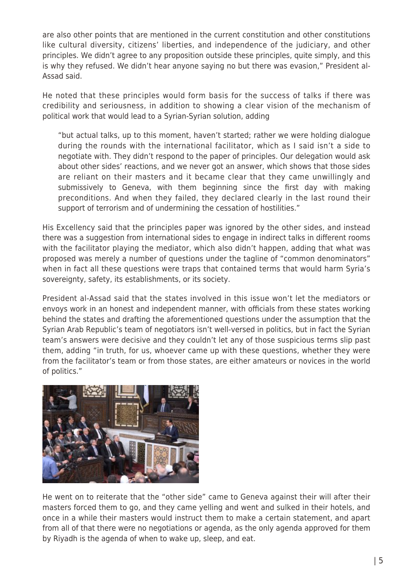are also other points that are mentioned in the current constitution and other constitutions like cultural diversity, citizens' liberties, and independence of the judiciary, and other principles. We didn't agree to any proposition outside these principles, quite simply, and this is why they refused. We didn't hear anyone saying no but there was evasion," President al-Assad said.

He noted that these principles would form basis for the success of talks if there was credibility and seriousness, in addition to showing a clear vision of the mechanism of political work that would lead to a Syrian-Syrian solution, adding

"but actual talks, up to this moment, haven't started; rather we were holding dialogue during the rounds with the international facilitator, which as I said isn't a side to negotiate with. They didn't respond to the paper of principles. Our delegation would ask about other sides' reactions, and we never got an answer, which shows that those sides are reliant on their masters and it became clear that they came unwillingly and submissively to Geneva, with them beginning since the first day with making preconditions. And when they failed, they declared clearly in the last round their support of terrorism and of undermining the cessation of hostilities."

His Excellency said that the principles paper was ignored by the other sides, and instead there was a suggestion from international sides to engage in indirect talks in different rooms with the facilitator playing the mediator, which also didn't happen, adding that what was proposed was merely a number of questions under the tagline of "common denominators" when in fact all these questions were traps that contained terms that would harm Syria's sovereignty, safety, its establishments, or its society.

President al-Assad said that the states involved in this issue won't let the mediators or envoys work in an honest and independent manner, with officials from these states working behind the states and drafting the aforementioned questions under the assumption that the Syrian Arab Republic's team of negotiators isn't well-versed in politics, but in fact the Syrian team's answers were decisive and they couldn't let any of those suspicious terms slip past them, adding "in truth, for us, whoever came up with these questions, whether they were from the facilitator's team or from those states, are either amateurs or novices in the world of politics."



He went on to reiterate that the "other side" came to Geneva against their will after their masters forced them to go, and they came yelling and went and sulked in their hotels, and once in a while their masters would instruct them to make a certain statement, and apart from all of that there were no negotiations or agenda, as the only agenda approved for them by Riyadh is the agenda of when to wake up, sleep, and eat.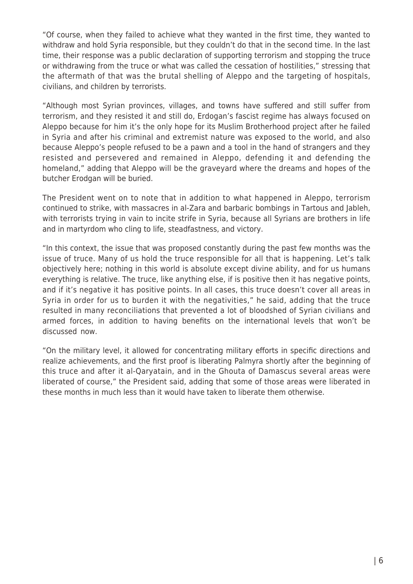"Of course, when they failed to achieve what they wanted in the first time, they wanted to withdraw and hold Syria responsible, but they couldn't do that in the second time. In the last time, their response was a public declaration of supporting terrorism and stopping the truce or withdrawing from the truce or what was called the cessation of hostilities," stressing that the aftermath of that was the brutal shelling of Aleppo and the targeting of hospitals, civilians, and children by terrorists.

"Although most Syrian provinces, villages, and towns have suffered and still suffer from terrorism, and they resisted it and still do, Erdogan's fascist regime has always focused on Aleppo because for him it's the only hope for its Muslim Brotherhood project after he failed in Syria and after his criminal and extremist nature was exposed to the world, and also because Aleppo's people refused to be a pawn and a tool in the hand of strangers and they resisted and persevered and remained in Aleppo, defending it and defending the homeland," adding that Aleppo will be the graveyard where the dreams and hopes of the butcher Erodgan will be buried.

The President went on to note that in addition to what happened in Aleppo, terrorism continued to strike, with massacres in al-Zara and barbaric bombings in Tartous and Jableh, with terrorists trying in vain to incite strife in Syria, because all Syrians are brothers in life and in martyrdom who cling to life, steadfastness, and victory.

"In this context, the issue that was proposed constantly during the past few months was the issue of truce. Many of us hold the truce responsible for all that is happening. Let's talk objectively here; nothing in this world is absolute except divine ability, and for us humans everything is relative. The truce, like anything else, if is positive then it has negative points, and if it's negative it has positive points. In all cases, this truce doesn't cover all areas in Syria in order for us to burden it with the negativities," he said, adding that the truce resulted in many reconciliations that prevented a lot of bloodshed of Syrian civilians and armed forces, in addition to having benefits on the international levels that won't be discussed now.

"On the military level, it allowed for concentrating military efforts in specific directions and realize achievements, and the first proof is liberating Palmyra shortly after the beginning of this truce and after it al-Qaryatain, and in the Ghouta of Damascus several areas were liberated of course," the President said, adding that some of those areas were liberated in these months in much less than it would have taken to liberate them otherwise.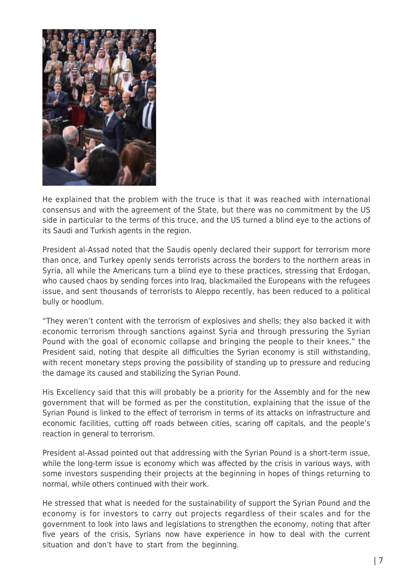

He explained that the problem with the truce is that it was reached with international consensus and with the agreement of the State, but there was no commitment by the US side in particular to the terms of this truce, and the US turned a blind eye to the actions of its Saudi and Turkish agents in the region.

President al-Assad noted that the Saudis openly declared their support for terrorism more than once, and Turkey openly sends terrorists across the borders to the northern areas in Syria, all while the Americans turn a blind eye to these practices, stressing that Erdogan, who caused chaos by sending forces into Iraq, blackmailed the Europeans with the refugees issue, and sent thousands of terrorists to Aleppo recently, has been reduced to a political bully or hoodlum.

"They weren't content with the terrorism of explosives and shells; they also backed it with economic terrorism through sanctions against Syria and through pressuring the Syrian Pound with the goal of economic collapse and bringing the people to their knees," the President said, noting that despite all difficulties the Syrian economy is still withstanding, with recent monetary steps proving the possibility of standing up to pressure and reducing the damage its caused and stabilizing the Syrian Pound.

His Excellency said that this will probably be a priority for the Assembly and for the new government that will be formed as per the constitution, explaining that the issue of the Syrian Pound is linked to the effect of terrorism in terms of its attacks on infrastructure and economic facilities, cutting off roads between cities, scaring off capitals, and the people's reaction in general to terrorism.

President al-Assad pointed out that addressing with the Syrian Pound is a short-term issue, while the long-term issue is economy which was affected by the crisis in various ways, with some investors suspending their projects at the beginning in hopes of things returning to normal, while others continued with their work.

He stressed that what is needed for the sustainability of support the Syrian Pound and the economy is for investors to carry out projects regardless of their scales and for the government to look into laws and legislations to strengthen the economy, noting that after five years of the crisis, Syrians now have experience in how to deal with the current situation and don't have to start from the beginning.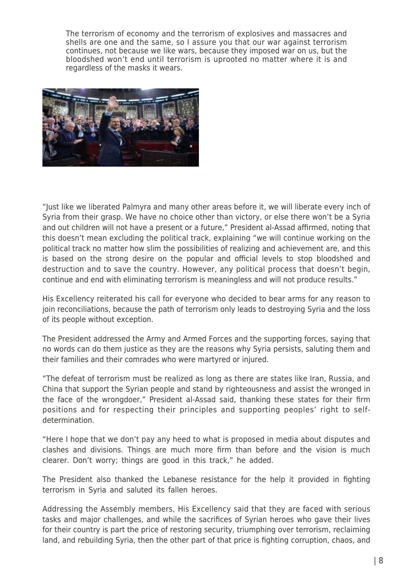The terrorism of economy and the terrorism of explosives and massacres and shells are one and the same, so I assure you that our war against terrorism continues, not because we like wars, because they imposed war on us, but the bloodshed won't end until terrorism is uprooted no matter where it is and regardless of the masks it wears.



"Just like we liberated Palmyra and many other areas before it, we will liberate every inch of Syria from their grasp. We have no choice other than victory, or else there won't be a Syria and out children will not have a present or a future," President al-Assad affirmed, noting that this doesn't mean excluding the political track, explaining "we will continue working on the political track no matter how slim the possibilities of realizing and achievement are, and this is based on the strong desire on the popular and official levels to stop bloodshed and destruction and to save the country. However, any political process that doesn't begin, continue and end with eliminating terrorism is meaningless and will not produce results."

His Excellency reiterated his call for everyone who decided to bear arms for any reason to join reconciliations, because the path of terrorism only leads to destroying Syria and the loss of its people without exception.

The President addressed the Army and Armed Forces and the supporting forces, saying that no words can do them justice as they are the reasons why Syria persists, saluting them and their families and their comrades who were martyred or injured.

"The defeat of terrorism must be realized as long as there are states like Iran, Russia, and China that support the Syrian people and stand by righteousness and assist the wronged in the face of the wrongdoer," President al-Assad said, thanking these states for their firm positions and for respecting their principles and supporting peoples' right to selfdetermination.

"Here I hope that we don't pay any heed to what is proposed in media about disputes and clashes and divisions. Things are much more firm than before and the vision is much clearer. Don't worry; things are good in this track," he added.

The President also thanked the Lebanese resistance for the help it provided in fighting terrorism in Syria and saluted its fallen heroes.

Addressing the Assembly members, His Excellency said that they are faced with serious tasks and major challenges, and while the sacrifices of Syrian heroes who gave their lives for their country is part the price of restoring security, triumphing over terrorism, reclaiming land, and rebuilding Syria, then the other part of that price is fighting corruption, chaos, and